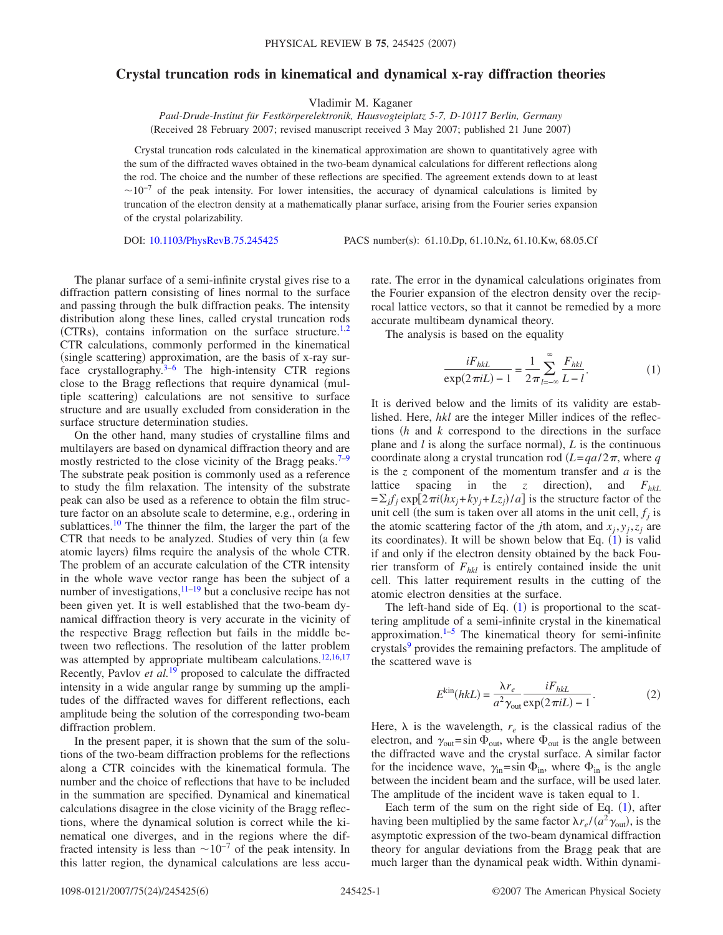## **Crystal truncation rods in kinematical and dynamical x-ray diffraction theories**

Vladimir M. Kaganer

*Paul-Drude-Institut für Festkörperelektronik, Hausvogteiplatz 5-7, D-10117 Berlin, Germany* (Received 28 February 2007; revised manuscript received 3 May 2007; published 21 June 2007)

Crystal truncation rods calculated in the kinematical approximation are shown to quantitatively agree with the sum of the diffracted waves obtained in the two-beam dynamical calculations for different reflections along the rod. The choice and the number of these reflections are specified. The agreement extends down to at least  $\sim 10^{-7}$  of the peak intensity. For lower intensities, the accuracy of dynamical calculations is limited by truncation of the electron density at a mathematically planar surface, arising from the Fourier series expansion of the crystal polarizability.

DOI: [10.1103/PhysRevB.75.245425](http://dx.doi.org/10.1103/PhysRevB.75.245425)

PACS number(s): 61.10.Dp, 61.10.Nz, 61.10.Kw, 68.05.Cf

The planar surface of a semi-infinite crystal gives rise to a diffraction pattern consisting of lines normal to the surface and passing through the bulk diffraction peaks. The intensity distribution along these lines, called crystal truncation rods (CTRs), contains information on the surface structure.<sup>1[,2](#page-5-1)</sup> CTR calculations, commonly performed in the kinematical (single scattering) approximation, are the basis of x-ray surface crystallography. $3-6$  $3-6$  The high-intensity CTR regions close to the Bragg reflections that require dynamical (multiple scattering) calculations are not sensitive to surface structure and are usually excluded from consideration in the surface structure determination studies.

On the other hand, many studies of crystalline films and multilayers are based on dynamical diffraction theory and are mostly restricted to the close vicinity of the Bragg peaks.<sup> $7-9$  $7-9$ </sup> The substrate peak position is commonly used as a reference to study the film relaxation. The intensity of the substrate peak can also be used as a reference to obtain the film structure factor on an absolute scale to determine, e.g., ordering in sublattices.<sup>10</sup> The thinner the film, the larger the part of the CTR that needs to be analyzed. Studies of very thin (a few atomic layers) films require the analysis of the whole CTR. The problem of an accurate calculation of the CTR intensity in the whole wave vector range has been the subject of a number of investigations, <sup>11[–19](#page-5-8)</sup> but a conclusive recipe has not been given yet. It is well established that the two-beam dynamical diffraction theory is very accurate in the vicinity of the respective Bragg reflection but fails in the middle between two reflections. The resolution of the latter problem was attempted by appropriate multibeam calculations.<sup>12,[16,](#page-5-10)[17](#page-5-11)</sup> Recently, Pavlov *et al.*[19](#page-5-8) proposed to calculate the diffracted intensity in a wide angular range by summing up the amplitudes of the diffracted waves for different reflections, each amplitude being the solution of the corresponding two-beam diffraction problem.

In the present paper, it is shown that the sum of the solutions of the two-beam diffraction problems for the reflections along a CTR coincides with the kinematical formula. The number and the choice of reflections that have to be included in the summation are specified. Dynamical and kinematical calculations disagree in the close vicinity of the Bragg reflections, where the dynamical solution is correct while the kinematical one diverges, and in the regions where the diffracted intensity is less than  $\sim 10^{-7}$  of the peak intensity. In this latter region, the dynamical calculations are less accurate. The error in the dynamical calculations originates from the Fourier expansion of the electron density over the reciprocal lattice vectors, so that it cannot be remedied by a more accurate multibeam dynamical theory.

<span id="page-0-0"></span>The analysis is based on the equality

$$
\frac{iF_{hkl}}{\exp(2\pi iL) - 1} = \frac{1}{2\pi} \sum_{l = -\infty}^{\infty} \frac{F_{hkl}}{L - l}.
$$
 (1)

It is derived below and the limits of its validity are established. Here, *hkl* are the integer Miller indices of the reflections *h* and *k* correspond to the directions in the surface plane and  $l$  is along the surface normal),  $L$  is the continuous coordinate along a crystal truncation rod  $(L=qa/2\pi,$  where *q* is the *z* component of the momentum transfer and *a* is the lattice spacing in the *z* direction), and  $F_{h k L}$  $=\sum_{j} f_j \exp[2\pi i (hx_j + ky_j + Lz_j)/a]$  is the structure factor of the unit cell (the sum is taken over all atoms in the unit cell,  $f_i$  is the atomic scattering factor of the *j*th atom, and  $x_i, y_i, z_j$  are its coordinates). It will be shown below that Eq.  $(1)$  $(1)$  $(1)$  is valid if and only if the electron density obtained by the back Fourier transform of  $F_{hkl}$  is entirely contained inside the unit cell. This latter requirement results in the cutting of the atomic electron densities at the surface.

The left-hand side of Eq.  $(1)$  $(1)$  $(1)$  is proportional to the scattering amplitude of a semi-infinite crystal in the kinematical approximation. $1-5$  $1-5$  The kinematical theory for semi-infinite crystals<sup>9</sup> provides the remaining prefactors. The amplitude of the scattered wave is

$$
E^{\rm kin}(hk) = \frac{\lambda r_e}{a^2 \gamma_{\rm out}} \frac{iF_{hkl}}{\exp(2\pi i L) - 1}.
$$
 (2)

<span id="page-0-1"></span>Here,  $\lambda$  is the wavelength,  $r_e$  is the classical radius of the electron, and  $\gamma_{\text{out}} = \sin \Phi_{\text{out}}$ , where  $\Phi_{\text{out}}$  is the angle between the diffracted wave and the crystal surface. A similar factor for the incidence wave,  $\gamma_{in}$ =sin  $\Phi_{in}$ , where  $\Phi_{in}$  is the angle between the incident beam and the surface, will be used later. The amplitude of the incident wave is taken equal to 1.

Each term of the sum on the right side of Eq.  $(1)$  $(1)$  $(1)$ , after having been multiplied by the same factor  $\lambda r_e / (a^2 \gamma_{\text{out}})$ , is the asymptotic expression of the two-beam dynamical diffraction theory for angular deviations from the Bragg peak that are much larger than the dynamical peak width. Within dynami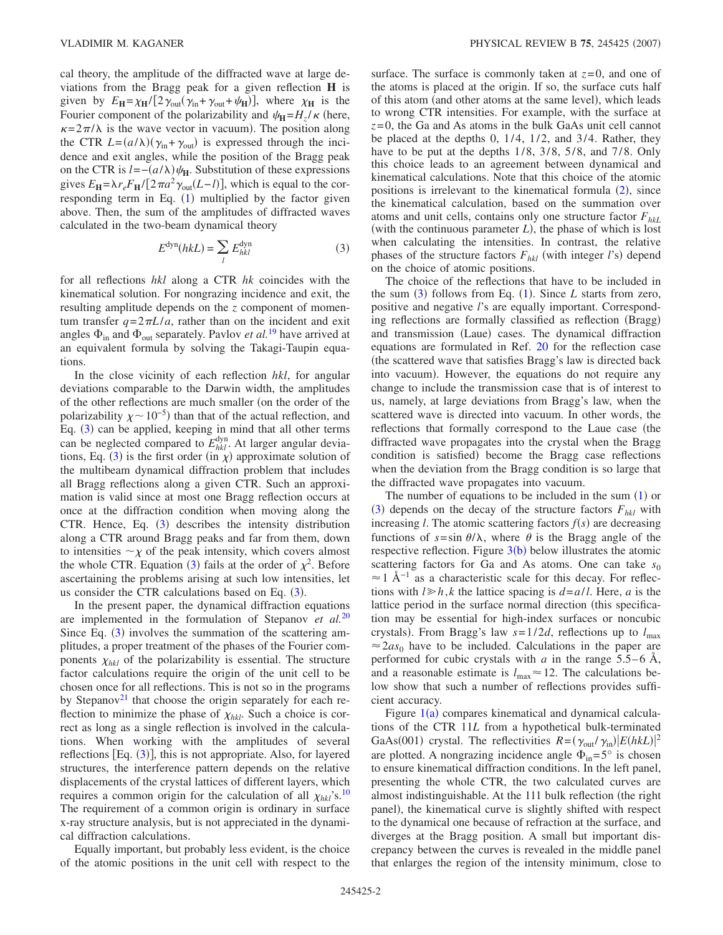cal theory, the amplitude of the diffracted wave at large deviations from the Bragg peak for a given reflection **H** is given by  $E_{\mathbf{H}} = \chi_{\mathbf{H}} / [2\gamma_{\text{out}}(\gamma_{\text{in}} + \gamma_{\text{out}} + \psi_{\mathbf{H}})],$  where  $\chi_{\mathbf{H}}$  is the Fourier component of the polarizability and  $\psi_{\text{H}}=H_{z}/\kappa$  (here,  $\kappa = 2\pi/\lambda$  is the wave vector in vacuum). The position along the CTR  $L = (a/\lambda)(\gamma_{\text{in}} + \gamma_{\text{out}})$  is expressed through the incidence and exit angles, while the position of the Bragg peak on the CTR is  $l = -(a/\lambda)\psi_H$ . Substitution of these expressions gives  $E_{\mathbf{H}} = \lambda r_e F_{\mathbf{H}} / [2 \pi a^2 \gamma_{\text{out}} (L - l)]$ , which is equal to the corresponding term in Eq.  $(1)$  $(1)$  $(1)$  multiplied by the factor given above. Then, the sum of the amplitudes of diffracted waves calculated in the two-beam dynamical theory

$$
E^{\text{dyn}}(h k L) = \sum_{l} E_{h k l}^{\text{dyn}} \tag{3}
$$

<span id="page-1-0"></span>for all reflections *hkl* along a CTR *hk* coincides with the kinematical solution. For nongrazing incidence and exit, the resulting amplitude depends on the *z* component of momentum transfer  $q=2\pi L/a$ , rather than on the incident and exit angles  $\Phi_{\text{in}}$  and  $\Phi_{\text{out}}$  separately. Pavlov *et al.*<sup>[19](#page-5-8)</sup> have arrived at an equivalent formula by solving the Takagi-Taupin equations.

In the close vicinity of each reflection *hkl*, for angular deviations comparable to the Darwin width, the amplitudes of the other reflections are much smaller (on the order of the polarizability  $\chi$  ~ 10<sup>-5</sup>) than that of the actual reflection, and Eq.  $(3)$  $(3)$  $(3)$  can be applied, keeping in mind that all other terms can be neglected compared to  $E_{hkl}^{dyn}$ . At larger angular devia-tions, Eq. ([3](#page-1-0)) is the first order (in  $\chi$ ) approximate solution of the multibeam dynamical diffraction problem that includes all Bragg reflections along a given CTR. Such an approximation is valid since at most one Bragg reflection occurs at once at the diffraction condition when moving along the CTR. Hence, Eq.  $(3)$  $(3)$  $(3)$  describes the intensity distribution along a CTR around Bragg peaks and far from them, down to intensities  $\sim \chi$  of the peak intensity, which covers almost the whole CTR. Equation ([3](#page-1-0)) fails at the order of  $\chi^2$ . Before ascertaining the problems arising at such low intensities, let us consider the CTR calculations based on Eq. ([3](#page-1-0)).

In the present paper, the dynamical diffraction equations are implemented in the formulation of Stepanov *et al.*[20](#page-5-13) Since Eq. ([3](#page-1-0)) involves the summation of the scattering amplitudes, a proper treatment of the phases of the Fourier components  $\chi_{hkl}$  of the polarizability is essential. The structure factor calculations require the origin of the unit cell to be chosen once for all reflections. This is not so in the programs by Stepanov<sup>21</sup> that choose the origin separately for each reflection to minimize the phase of  $\chi_{hkl}$ . Such a choice is correct as long as a single reflection is involved in the calculations. When working with the amplitudes of several reflections  $[Eq. (3)]$  $[Eq. (3)]$  $[Eq. (3)]$ , this is not appropriate. Also, for layered structures, the interference pattern depends on the relative displacements of the crystal lattices of different layers, which requires a common origin for the calculation of all  $\chi_{hkl}$ 's.<sup>10</sup> The requirement of a common origin is ordinary in surface x-ray structure analysis, but is not appreciated in the dynamical diffraction calculations.

Equally important, but probably less evident, is the choice of the atomic positions in the unit cell with respect to the surface. The surface is commonly taken at  $z=0$ , and one of the atoms is placed at the origin. If so, the surface cuts half of this atom (and other atoms at the same level), which leads to wrong CTR intensities. For example, with the surface at *z*=0, the Ga and As atoms in the bulk GaAs unit cell cannot be placed at the depths 0, 1/4, 1/2, and 3/4. Rather, they have to be put at the depths  $1/8$ ,  $3/8$ ,  $5/8$ , and  $7/8$ . Only this choice leads to an agreement between dynamical and kinematical calculations. Note that this choice of the atomic positions is irrelevant to the kinematical formula  $(2)$  $(2)$  $(2)$ , since the kinematical calculation, based on the summation over atoms and unit cells, contains only one structure factor  $F_{hkt}$ (with the continuous parameter  $L$ ), the phase of which is lost when calculating the intensities. In contrast, the relative phases of the structure factors  $F_{hkl}$  (with integer *l*'s) depend on the choice of atomic positions.

The choice of the reflections that have to be included in the sum  $(3)$  $(3)$  $(3)$  follows from Eq.  $(1)$  $(1)$  $(1)$ . Since *L* starts from zero, positive and negative *l*'s are equally important. Corresponding reflections are formally classified as reflection (Bragg) and transmission (Laue) cases. The dynamical diffraction equations are formulated in Ref. [20](#page-5-13) for the reflection case the scattered wave that satisfies Bragg's law is directed back into vacuum). However, the equations do not require any change to include the transmission case that is of interest to us, namely, at large deviations from Bragg's law, when the scattered wave is directed into vacuum. In other words, the reflections that formally correspond to the Laue case (the diffracted wave propagates into the crystal when the Bragg condition is satisfied) become the Bragg case reflections when the deviation from the Bragg condition is so large that the diffracted wave propagates into vacuum.

The number of equations to be included in the sum  $(1)$  $(1)$  $(1)$  or  $(3)$  $(3)$  $(3)$  depends on the decay of the structure factors  $F_{hkl}$  with increasing *l*. The atomic scattering factors  $f(s)$  are decreasing functions of  $s = \sin \theta / \lambda$ , where  $\theta$  is the Bragg angle of the respective reflection. Figure  $3(b)$  $3(b)$  below illustrates the atomic scattering factors for Ga and As atoms. One can take  $s_0$  $\approx$  1 Å<sup>-1</sup> as a characteristic scale for this decay. For reflections with  $l \geq h$ , *k* the lattice spacing is  $d = a/l$ . Here, *a* is the lattice period in the surface normal direction (this specification may be essential for high-index surfaces or noncubic crystals). From Bragg's law  $s = 1/2d$ , reflections up to  $l_{\text{max}}$  $\approx$  2*as*<sub>0</sub> have to be included. Calculations in the paper are performed for cubic crystals with *a* in the range 5.5–6 Å, and a reasonable estimate is  $l_{\text{max}} \approx 12$ . The calculations below show that such a number of reflections provides sufficient accuracy.

Figure  $1(a)$  $1(a)$  compares kinematical and dynamical calculations of the CTR 11*L* from a hypothetical bulk-terminated GaAs(001) crystal. The reflectivities  $R = (\gamma_{\text{out}}/\gamma_{\text{in}})|E(hkL)|^2$ are plotted. A nongrazing incidence angle  $\Phi_{\text{in}}=5^{\circ}$  is chosen to ensure kinematical diffraction conditions. In the left panel, presenting the whole CTR, the two calculated curves are almost indistinguishable. At the 111 bulk reflection (the right panel), the kinematical curve is slightly shifted with respect to the dynamical one because of refraction at the surface, and diverges at the Bragg position. A small but important discrepancy between the curves is revealed in the middle panel that enlarges the region of the intensity minimum, close to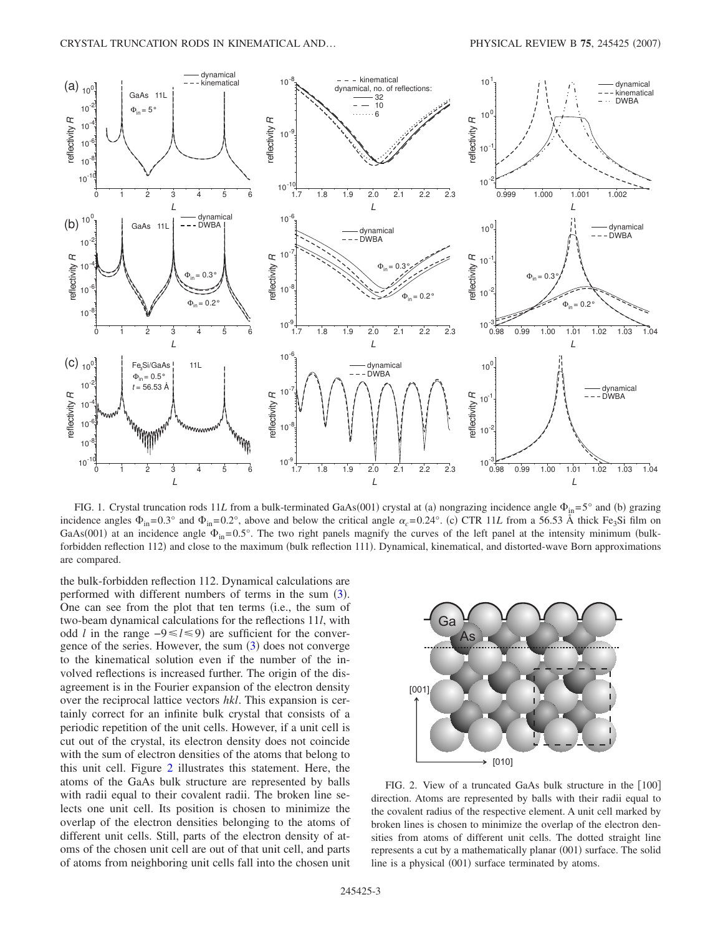<span id="page-2-0"></span>

FIG. 1. Crystal truncation rods 11L from a bulk-terminated GaAs(001) crystal at (a) nongrazing incidence angle  $\Phi_{\text{in}} = 5^{\circ}$  and (b) grazing incidence angles  $\Phi_{\text{in}}=0.3^{\circ}$  and  $\Phi_{\text{in}}=0.2^{\circ}$ , above and below the critical angle  $\alpha_c=0.24^{\circ}$ . (c) CTR 11*L* from a 56.53 Å thick Fe<sub>3</sub>Si film on GaAs(001) at an incidence angle  $\Phi_{in} = 0.5^{\circ}$ . The two right panels magnify the curves of the left panel at the intensity minimum (bulkforbidden reflection 112) and close to the maximum (bulk reflection 111). Dynamical, kinematical, and distorted-wave Born approximations are compared.

the bulk-forbidden reflection 112. Dynamical calculations are performed with different numbers of terms in the sum ([3](#page-1-0)). One can see from the plot that ten terms (i.e., the sum of two-beam dynamical calculations for the reflections 11*l*, with odd *l* in the range  $-9 \le l \le 9$ ) are sufficient for the convergence of the series. However, the sum  $(3)$  $(3)$  $(3)$  does not converge to the kinematical solution even if the number of the involved reflections is increased further. The origin of the disagreement is in the Fourier expansion of the electron density over the reciprocal lattice vectors *hkl*. This expansion is certainly correct for an infinite bulk crystal that consists of a periodic repetition of the unit cells. However, if a unit cell is cut out of the crystal, its electron density does not coincide with the sum of electron densities of the atoms that belong to this unit cell. Figure [2](#page-2-1) illustrates this statement. Here, the atoms of the GaAs bulk structure are represented by balls with radii equal to their covalent radii. The broken line selects one unit cell. Its position is chosen to minimize the overlap of the electron densities belonging to the atoms of different unit cells. Still, parts of the electron density of atoms of the chosen unit cell are out of that unit cell, and parts of atoms from neighboring unit cells fall into the chosen unit

<span id="page-2-1"></span>

FIG. 2. View of a truncated GaAs bulk structure in the [100] direction. Atoms are represented by balls with their radii equal to the covalent radius of the respective element. A unit cell marked by broken lines is chosen to minimize the overlap of the electron densities from atoms of different unit cells. The dotted straight line represents a cut by a mathematically planar (001) surface. The solid line is a physical (001) surface terminated by atoms.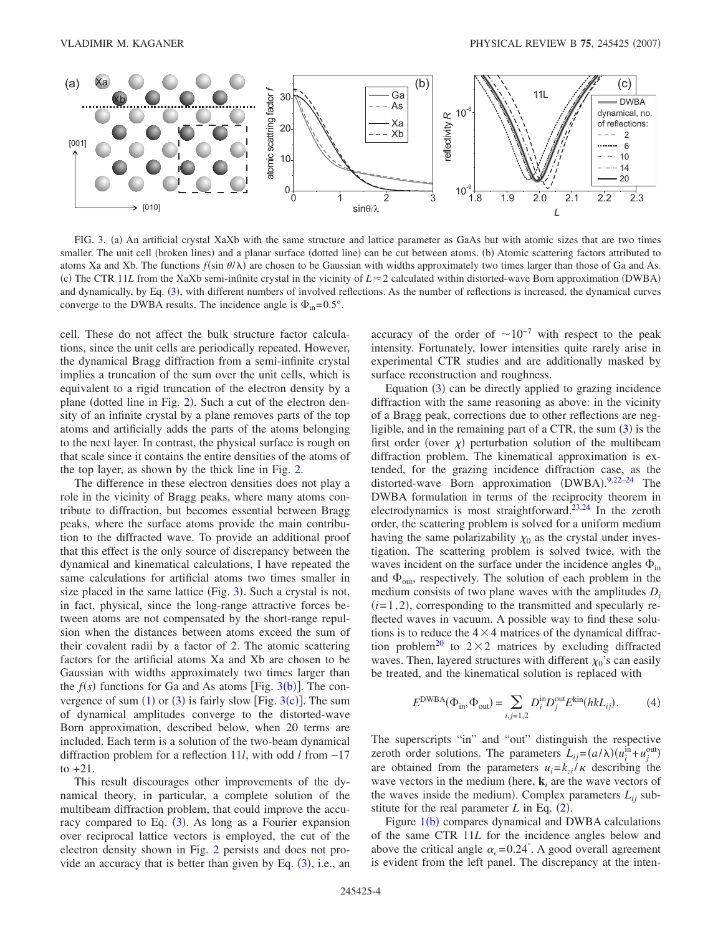<span id="page-3-0"></span>

FIG. 3. (a) An artificial crystal XaXb with the same structure and lattice parameter as GaAs but with atomic sizes that are two times smaller. The unit cell (broken lines) and a planar surface (dotted line) can be cut between atoms. (b) Atomic scattering factors attributed to atoms Xa and Xb. The functions  $f(\sin \theta/\lambda)$  are chosen to be Gaussian with widths approximately two times larger than those of Ga and As. (c) The CTR 11*L* from the XaXb semi-infinite crystal in the vicinity of  $L \approx 2$  calculated within distorted-wave Born approximation (DWBA) and dynamically, by Eq. ([3](#page-1-0)), with different numbers of involved reflections. As the number of reflections is increased, the dynamical curves converge to the DWBA results. The incidence angle is  $\Phi_{in}=0.5^{\circ}$ .

cell. These do not affect the bulk structure factor calculations, since the unit cells are periodically repeated. However, the dynamical Bragg diffraction from a semi-infinite crystal implies a truncation of the sum over the unit cells, which is equivalent to a rigid truncation of the electron density by a plane (dotted line in Fig. [2](#page-2-1)). Such a cut of the electron density of an infinite crystal by a plane removes parts of the top atoms and artificially adds the parts of the atoms belonging to the next layer. In contrast, the physical surface is rough on that scale since it contains the entire densities of the atoms of the top layer, as shown by the thick line in Fig. [2.](#page-2-1)

The difference in these electron densities does not play a role in the vicinity of Bragg peaks, where many atoms contribute to diffraction, but becomes essential between Bragg peaks, where the surface atoms provide the main contribution to the diffracted wave. To provide an additional proof that this effect is the only source of discrepancy between the dynamical and kinematical calculations, I have repeated the same calculations for artificial atoms two times smaller in size placed in the same lattice  $(Fig. 3)$  $(Fig. 3)$  $(Fig. 3)$ . Such a crystal is not, in fact, physical, since the long-range attractive forces between atoms are not compensated by the short-range repulsion when the distances between atoms exceed the sum of their covalent radii by a factor of 2. The atomic scattering factors for the artificial atoms Xa and Xb are chosen to be Gaussian with widths approximately two times larger than the  $f(s)$  functions for Ga and As atoms [Fig.  $3(b)$  $3(b)$ ]. The convergence of sum  $(1)$  $(1)$  $(1)$  or  $(3)$  $(3)$  $(3)$  is fairly slow [Fig. 3(c)]. The sum of dynamical amplitudes converge to the distorted-wave Born approximation, described below, when 20 terms are included. Each term is a solution of the two-beam dynamical diffraction problem for a reflection 11*l*, with odd *l* from −17 to +21.

This result discourages other improvements of the dynamical theory, in particular, a complete solution of the multibeam diffraction problem, that could improve the accu-racy compared to Eq. ([3](#page-1-0)). As long as a Fourier expansion over reciprocal lattice vectors is employed, the cut of the electron density shown in Fig. [2](#page-2-1) persists and does not provide an accuracy that is better than given by Eq.  $(3)$  $(3)$  $(3)$ , i.e., an

accuracy of the order of  $\sim 10^{-7}$  with respect to the peak intensity. Fortunately, lower intensities quite rarely arise in experimental CTR studies and are additionally masked by surface reconstruction and roughness.

Equation ([3](#page-1-0)) can be directly applied to grazing incidence diffraction with the same reasoning as above: in the vicinity of a Bragg peak, corrections due to other reflections are negligible, and in the remaining part of a CTR, the sum  $(3)$  $(3)$  $(3)$  is the first order (over  $\chi$ ) perturbation solution of the multibeam diffraction problem. The kinematical approximation is extended, for the grazing incidence diffraction case, as the distorted-wave Born approximation (DWBA).<sup>[9,](#page-5-5)22-[24](#page-5-9)</sup> The DWBA formulation in terms of the reciprocity theorem in electrodynamics is most straightforward[.23](#page-5-16)[,24](#page-5-9) In the zeroth order, the scattering problem is solved for a uniform medium having the same polarizability  $\chi_0$  as the crystal under investigation. The scattering problem is solved twice, with the waves incident on the surface under the incidence angles  $\Phi_{\text{in}}$ and  $\Phi_{\text{out}}$ , respectively. The solution of each problem in the medium consists of two plane waves with the amplitudes *Di*  $(i=1, 2)$ , corresponding to the transmitted and specularly reflected waves in vacuum. A possible way to find these solutions is to reduce the  $4 \times 4$  matrices of the dynamical diffraction problem<sup>20</sup> to  $2 \times 2$  matrices by excluding diffracted waves. Then, layered structures with different  $\chi_0$ 's can easily be treated, and the kinematical solution is replaced with

$$
E^{\text{DWBA}}(\Phi_{\text{in}}, \Phi_{\text{out}}) = \sum_{i,j=1,2} D_i^{\text{in}} D_j^{\text{out}} E^{\text{kin}}(h k L_{ij}). \tag{4}
$$

The superscripts "in" and "out" distinguish the respective zeroth order solutions. The parameters  $L_{ij} = (a/\lambda)(u_i^{\text{in}} + u_j^{\text{out}})$ are obtained from the parameters  $u_i = k_{zi} / \kappa$  describing the wave vectors in the medium (here,  $\bf{k}$ *<sub>i</sub>* are the wave vectors of the waves inside the medium). Complex parameters  $L_{ij}$  substitute for the real parameter  $L$  in Eq.  $(2)$  $(2)$  $(2)$ .

Figure  $1(b)$  $1(b)$  compares dynamical and DWBA calculations of the same CTR 11*L* for the incidence angles below and above the critical angle  $\alpha_c = 0.24^\circ$ . A good overall agreement is evident from the left panel. The discrepancy at the inten-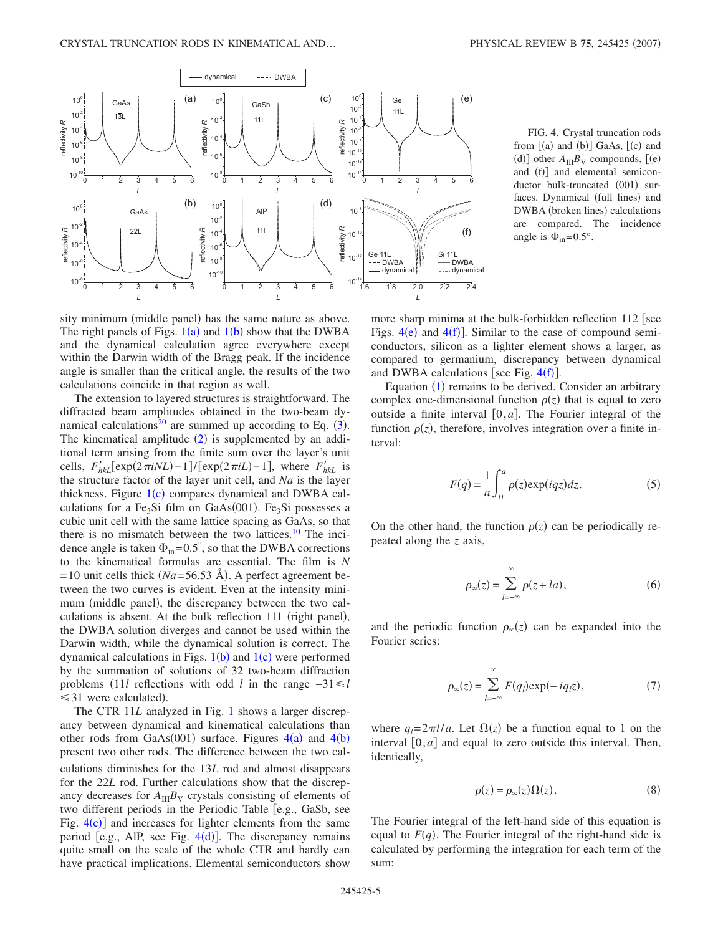<span id="page-4-0"></span>

FIG. 4. Crystal truncation rods from  $[(a)$  and  $(b)]$  GaAs,  $[(c)$  and (d)] other  $A_{III}B_V$  compounds, [(e) and (f)] and elemental semiconductor bulk-truncated (001) surfaces. Dynamical (full lines) and DWBA (broken lines) calculations are compared. The incidence angle is  $\Phi_{\text{in}}=0.5^{\circ}$ .

sity minimum (middle panel) has the same nature as above. The right panels of Figs.  $1(a)$  $1(a)$  and  $1(b)$  show that the DWBA and the dynamical calculation agree everywhere except within the Darwin width of the Bragg peak. If the incidence angle is smaller than the critical angle, the results of the two calculations coincide in that region as well.

The extension to layered structures is straightforward. The diffracted beam amplitudes obtained in the two-beam dynamical calculations<sup>20</sup> are summed up according to Eq.  $(3)$  $(3)$  $(3)$ . The kinematical amplitude  $(2)$  $(2)$  $(2)$  is supplemented by an additional term arising from the finite sum over the layer's unit cells,  $F'_{hkl}$ [ $\exp(2\pi iNL) - 1$ ]/[ $\exp(2\pi iL) - 1$ ], where  $F'_{hkl}$  is the structure factor of the layer unit cell, and *Na* is the layer thickness. Figure  $1(c)$  $1(c)$  compares dynamical and DWBA calculations for a Fe<sub>3</sub>Si film on GaAs(001). Fe<sub>3</sub>Si possesses a cubic unit cell with the same lattice spacing as GaAs, so that there is no mismatch between the two lattices.<sup>10</sup> The incidence angle is taken  $\Phi_{\text{in}} = 0.5^{\degree}$ , so that the DWBA corrections to the kinematical formulas are essential. The film is *N*  $=$  10 unit cells thick (*Na* = 56.53 Å). A perfect agreement between the two curves is evident. Even at the intensity minimum (middle panel), the discrepancy between the two calculations is absent. At the bulk reflection 111 (right panel), the DWBA solution diverges and cannot be used within the Darwin width, while the dynamical solution is correct. The dynamical calculations in Figs.  $1(b)$  $1(b)$  and  $1(c)$  were performed by the summation of solutions of 32 two-beam diffraction problems (11*l* reflections with odd *l* in the range −31 ≤ *l*  $\leq$  31 were calculated).

The CTR [1](#page-2-0)1*L* analyzed in Fig. 1 shows a larger discrepancy between dynamical and kinematical calculations than other rods from GaAs $(001)$  surface. Figures  $4(a)$  $4(a)$  and  $4(b)$ present two other rods. The difference between the two calculations diminishes for the 13L rod and almost disappears for the 22*L* rod. Further calculations show that the discrepancy decreases for  $A_{III}B_V$  crystals consisting of elements of two different periods in the Periodic Table [e.g., GaSb, see Fig.  $4(c)$  $4(c)$ ] and increases for lighter elements from the same period [e.g., AlP, see Fig.  $4(d)$  $4(d)$ ]. The discrepancy remains quite small on the scale of the whole CTR and hardly can have practical implications. Elemental semiconductors show

more sharp minima at the bulk-forbidden reflection  $112$  [see Figs.  $4(e)$  $4(e)$  and  $4(f)$ ]. Similar to the case of compound semiconductors, silicon as a lighter element shows a larger, as compared to germanium, discrepancy between dynamical and DWBA calculations [see Fig.  $4(f)$  $4(f)$ ].

Equation ([1](#page-0-0)) remains to be derived. Consider an arbitrary complex one-dimensional function  $\rho(z)$  that is equal to zero outside a finite interval  $[0, a]$ . The Fourier integral of the function  $\rho(z)$ , therefore, involves integration over a finite interval:

$$
F(q) = \frac{1}{a} \int_0^a \rho(z) \exp(iqz) dz.
$$
 (5)

On the other hand, the function  $\rho(z)$  can be periodically repeated along the *z* axis,

$$
\rho_{\infty}(z) = \sum_{l=-\infty}^{\infty} \rho(z + la), \tag{6}
$$

and the periodic function  $\rho_{\infty}(z)$  can be expanded into the Fourier series:

$$
\rho_{\infty}(z) = \sum_{l=-\infty}^{\infty} F(q_l) \exp(-i q_l z), \tag{7}
$$

where  $q_l = 2\pi l/a$ . Let  $\Omega(z)$  be a function equal to 1 on the interval  $[0, a]$  and equal to zero outside this interval. Then, identically,

$$
\rho(z) = \rho_{\infty}(z)\Omega(z). \tag{8}
$$

<span id="page-4-1"></span>The Fourier integral of the left-hand side of this equation is equal to  $F(q)$ . The Fourier integral of the right-hand side is calculated by performing the integration for each term of the sum: